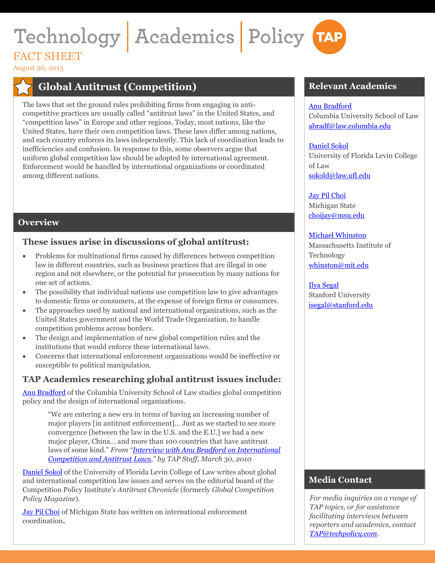# Technology Academics Policy TAP FACT SHEET

August 26, 2015

# **Global Antitrust (Competition)**

The laws that set the ground rules prohibiting firms from engaging in anticompetitive practices are usually called "antitrust laws" in the United States, and "competition laws" in Europe and other regions. Today, most nations, like the United States, have their own competition laws. These laws differ among nations, and each country enforces its laws independently. This lack of coordination leads to inefficiencies and confusion. In response to this, some observers argue that uniform global competition law should be adopted by international agreement. Enforcement would be handled by international organizations or coordinated among different nations.

# **Overview**

## **These issues arise in discussions of global antitrust:**

- Problems for multinational firms caused by differences between competition law in different countries, such as business practices that are illegal in one region and not elsewhere, or the potential for prosecution by many nations for one set of actions.
- The possibility that individual nations use competition law to give advantages to domestic firms or consumers, at the expense of foreign firms or consumers.
- The approaches used by national and international organizations, such as the United States government and the World Trade Organization, to handle competition problems across borders.
- The design and implementation of new global competition rules and the institutions that would enforce these international laws.
- Concerns that international enforcement organizations would be ineffective or susceptible to political manipulation.

# **TAP Academics researching global antitrust issues include:**

[Anu Bradford](http://www.techpolicy.com/Academics/Anu-Bradford.aspx) of the Columbia University School of Law studies global competition policy and the design of international organizations.

"We are entering a new era in terms of having an increasing number of major players [in antitrust enforcement]... Just as we started to see more convergence [between the law in the U.S. and the E.U.] we had a new major player, China… and more than 100 countries that have antitrust laws of some kind." *From "[Interview with Anu Bradford on International](http://www.techpolicy.com/Blog/March-2010/Interview-with-Anu-Bradford-on-International-Compe.aspx)  [Competition and Antitrust Laws](http://www.techpolicy.com/Blog/March-2010/Interview-with-Anu-Bradford-on-International-Compe.aspx)," by TAP Staff, March 30, 2010*

[Daniel](http://www.techpolicy.com/Academics/Danny-Sokol.aspx) Sokol of the University of Florida Levin College of Law writes about global and international competition law issues and serves on the editorial board of the Competition Policy Institute's *Antitrust Chronicle* (formerly *Global Competition Policy Magazine*).

[Jay Pil Choi](http://www.techpolicy.com/Academics/Jay-Pil-Choi.aspx) of Michigan State has written on international enforcement coordination**.**

## **Relevant Academics**

#### [Anu Bradford](http://www.techpolicy.com/Academics/Anu-Bradford.aspx)

Columbia University School of Law [abradf@law.columbia.edu](mailto:abradf@law.columbia.edu)

#### [Daniel](http://www.techpolicy.com/Academics/Danny-Sokol.aspx) Sokol

University of Florida Levin College of Law [sokold@law.ufl.edu](mailto:%20sokold@law.ufl.edu)

#### [Jay Pil Choi](http://www.techpolicy.com/Academics/Jay-Pil-Choi.aspx)

Michigan State [choijay@msu.edu](mailto:%20choijay@msu.edu)

#### [Michael Whinston](http://www.techpolicy.com/Academics/Mike-Whinston.aspx)

Massachusetts Institute of Technology [whinston@mit.edu](mailto:%20whinston@mit.edu)

[Ilya Segal](http://www.techpolicy.com/Academics/Ilya-Segal.aspx) Stanford University [isegal@stanford.edu](mailto:%20isegal@stanford.edu)

# **Media Contact**

*For media inquiries on a range of TAP topics, or for assistance facilitating interviews between reporters and academics, contact [TAP@techpolicy.com.](mailto:TAP@techpolicy.com)*